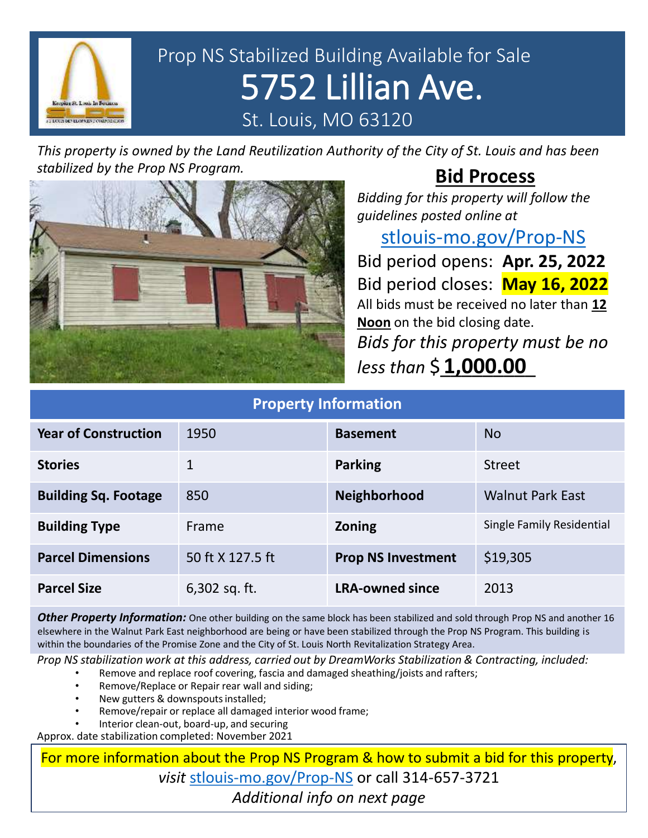

# Prop NS Stabilized Building Available for Sale 5752 Lillian Ave. St. Louis, MO 63120

*This property is owned by the Land Reutilization Authority of the City of St. Louis and has been stabilized by the Prop NS Program.*

## **Bid Process**

*Bidding for this property will follow the guidelines posted online at* 

#### [stlouis-mo.gov/Prop-NS](https://stlouis-mo.gov/Prop-NS)

Bid period opens: **Apr. 25, 2022** Bid period closes: **May 16, 2022** All bids must be received no later than **12 Noon** on the bid closing date. *Bids for this property must be no less than* \$\_\_\_\_\_\_\_\_\_ **1,000.00**

| <b>Property Information</b> |                  |                           |                           |
|-----------------------------|------------------|---------------------------|---------------------------|
| <b>Year of Construction</b> | 1950             | <b>Basement</b>           | <b>No</b>                 |
| <b>Stories</b>              | 1                | <b>Parking</b>            | <b>Street</b>             |
| <b>Building Sq. Footage</b> | 850              | Neighborhood              | <b>Walnut Park East</b>   |
| <b>Building Type</b>        | Frame            | Zoning                    | Single Family Residential |
| <b>Parcel Dimensions</b>    | 50 ft X 127.5 ft | <b>Prop NS Investment</b> | \$19,305                  |
| <b>Parcel Size</b>          | 6,302 sq. ft.    | <b>LRA-owned since</b>    | 2013                      |

*Other Property Information:* One other building on the same block has been stabilized and sold through Prop NS and another 16 elsewhere in the Walnut Park East neighborhood are being or have been stabilized through the Prop NS Program. This building is within the boundaries of the Promise Zone and the City of St. Louis North Revitalization Strategy Area.

*Prop NS stabilization work at this address, carried out by DreamWorks Stabilization & Contracting, included:*

- Remove and replace roof covering, fascia and damaged sheathing/joists and rafters;
	- Remove/Replace or Repair rear wall and siding;
	- New gutters & downspouts installed;
	- Remove/repair or replace all damaged interior wood frame;
	- Interior clean-out, board-up, and securing

Approx. date stabilization completed: November 2021

For more information about the Prop NS Program & how to submit a bid for this property, *visit* [stlouis-mo.gov/Prop-NS](https://stlouis-mo.gov/Prop-NS) or call 314-657-3721 *Additional info on next page*